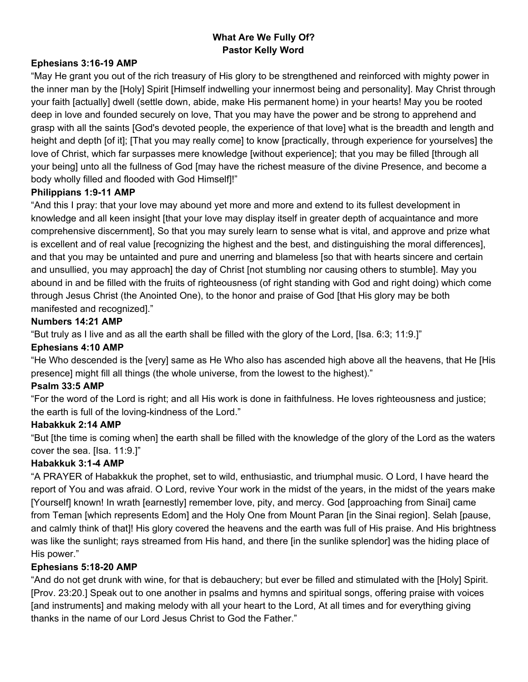# **What Are We Fully Of? Pastor Kelly Word**

## **Ephesians 3:16-19 AMP**

"May He grant you out of the rich treasury of His glory to be strengthened and reinforced with mighty power in the inner man by the [Holy] Spirit [Himself indwelling your innermost being and personality]. May Christ through your faith [actually] dwell (settle down, abide, make His permanent home) in your hearts! May you be rooted deep in love and founded securely on love, That you may have the power and be strong to apprehend and grasp with all the saints [God's devoted people, the experience of that love] what is the breadth and length and height and depth [of it]; [That you may really come] to know [practically, through experience for yourselves] the love of Christ, which far surpasses mere knowledge [without experience]; that you may be filled [through all your being] unto all the fullness of God [may have the richest measure of the divine Presence, and become a body wholly filled and flooded with God Himself]!"

#### **Philippians 1:9-11 AMP**

"And this I pray: that your love may abound yet more and more and extend to its fullest development in knowledge and all keen insight [that your love may display itself in greater depth of acquaintance and more comprehensive discernment], So that you may surely learn to sense what is vital, and approve and prize what is excellent and of real value [recognizing the highest and the best, and distinguishing the moral differences], and that you may be untainted and pure and unerring and blameless [so that with hearts sincere and certain and unsullied, you may approach] the day of Christ [not stumbling nor causing others to stumble]. May you abound in and be filled with the fruits of righteousness (of right standing with God and right doing) which come through Jesus Christ (the Anointed One), to the honor and praise of God [that His glory may be both manifested and recognized]."

#### **Numbers 14:21 AMP**

"But truly as I live and as all the earth shall be filled with the glory of the Lord, [Isa. 6:3; 11:9.]"

## **Ephesians 4:10 AMP**

"He Who descended is the [very] same as He Who also has ascended high above all the heavens, that He [His presence] might fill all things (the whole universe, from the lowest to the highest)."

## **Psalm 33:5 AMP**

"For the word of the Lord is right; and all His work is done in faithfulness. He loves righteousness and justice; the earth is full of the loving-kindness of the Lord."

## **Habakkuk 2:14 AMP**

"But [the time is coming when] the earth shall be filled with the knowledge of the glory of the Lord as the waters cover the sea. [Isa. 11:9.]"

## **Habakkuk 3:1-4 AMP**

"A PRAYER of Habakkuk the prophet, set to wild, enthusiastic, and triumphal music. O Lord, I have heard the report of You and was afraid. O Lord, revive Your work in the midst of the years, in the midst of the years make [Yourself] known! In wrath [earnestly] remember love, pity, and mercy. God [approaching from Sinai] came from Teman [which represents Edom] and the Holy One from Mount Paran [in the Sinai region]. Selah [pause, and calmly think of that]! His glory covered the heavens and the earth was full of His praise. And His brightness was like the sunlight; rays streamed from His hand, and there [in the sunlike splendor] was the hiding place of His power."

## **Ephesians 5:18-20 AMP**

"And do not get drunk with wine, for that is debauchery; but ever be filled and stimulated with the [Holy] Spirit. [Prov. 23:20.] Speak out to one another in psalms and hymns and spiritual songs, offering praise with voices [and instruments] and making melody with all your heart to the Lord, At all times and for everything giving thanks in the name of our Lord Jesus Christ to God the Father."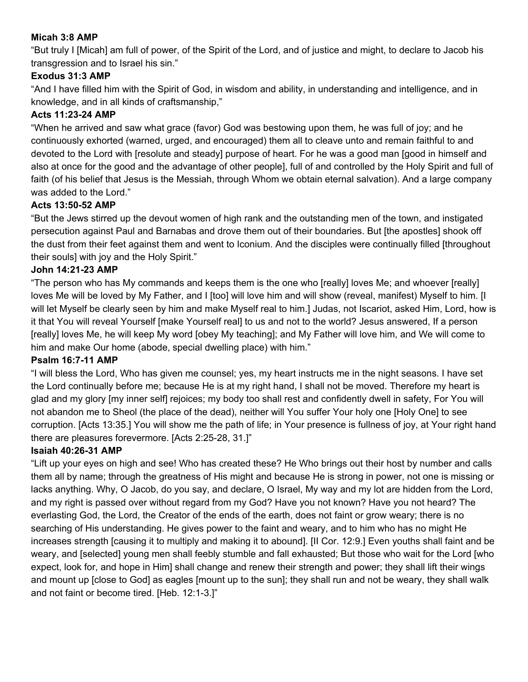## **Micah 3:8 AMP**

"But truly I [Micah] am full of power, of the Spirit of the Lord, and of justice and might, to declare to Jacob his transgression and to Israel his sin."

# **Exodus 31:3 AMP**

"And I have filled him with the Spirit of God, in wisdom and ability, in understanding and intelligence, and in knowledge, and in all kinds of craftsmanship,"

# **Acts 11:23-24 AMP**

"When he arrived and saw what grace (favor) God was bestowing upon them, he was full of joy; and he continuously exhorted (warned, urged, and encouraged) them all to cleave unto and remain faithful to and devoted to the Lord with [resolute and steady] purpose of heart. For he was a good man [good in himself and also at once for the good and the advantage of other people], full of and controlled by the Holy Spirit and full of faith (of his belief that Jesus is the Messiah, through Whom we obtain eternal salvation). And a large company was added to the Lord."

## **Acts 13:50-52 AMP**

"But the Jews stirred up the devout women of high rank and the outstanding men of the town, and instigated persecution against Paul and Barnabas and drove them out of their boundaries. But [the apostles] shook off the dust from their feet against them and went to Iconium. And the disciples were continually filled [throughout their souls] with joy and the Holy Spirit."

## **John 14:21-23 AMP**

"The person who has My commands and keeps them is the one who [really] loves Me; and whoever [really] loves Me will be loved by My Father, and I [too] will love him and will show (reveal, manifest) Myself to him. [I will let Myself be clearly seen by him and make Myself real to him.] Judas, not Iscariot, asked Him, Lord, how is it that You will reveal Yourself [make Yourself real] to us and not to the world? Jesus answered, If a person [really] loves Me, he will keep My word [obey My teaching]; and My Father will love him, and We will come to him and make Our home (abode, special dwelling place) with him."

## **Psalm 16:7-11 AMP**

"I will bless the Lord, Who has given me counsel; yes, my heart instructs me in the night seasons. I have set the Lord continually before me; because He is at my right hand, I shall not be moved. Therefore my heart is glad and my glory [my inner self] rejoices; my body too shall rest and confidently dwell in safety, For You will not abandon me to Sheol (the place of the dead), neither will You suffer Your holy one [Holy One] to see corruption. [Acts 13:35.] You will show me the path of life; in Your presence is fullness of joy, at Your right hand there are pleasures forevermore. [Acts 2:25-28, 31.]"

## **Isaiah 40:26-31 AMP**

"Lift up your eyes on high and see! Who has created these? He Who brings out their host by number and calls them all by name; through the greatness of His might and because He is strong in power, not one is missing or lacks anything. Why, O Jacob, do you say, and declare, O Israel, My way and my lot are hidden from the Lord, and my right is passed over without regard from my God? Have you not known? Have you not heard? The everlasting God, the Lord, the Creator of the ends of the earth, does not faint or grow weary; there is no searching of His understanding. He gives power to the faint and weary, and to him who has no might He increases strength [causing it to multiply and making it to abound]. [II Cor. 12:9.] Even youths shall faint and be weary, and [selected] young men shall feebly stumble and fall exhausted; But those who wait for the Lord [who expect, look for, and hope in Him] shall change and renew their strength and power; they shall lift their wings and mount up [close to God] as eagles [mount up to the sun]; they shall run and not be weary, they shall walk and not faint or become tired. [Heb. 12:1-3.]"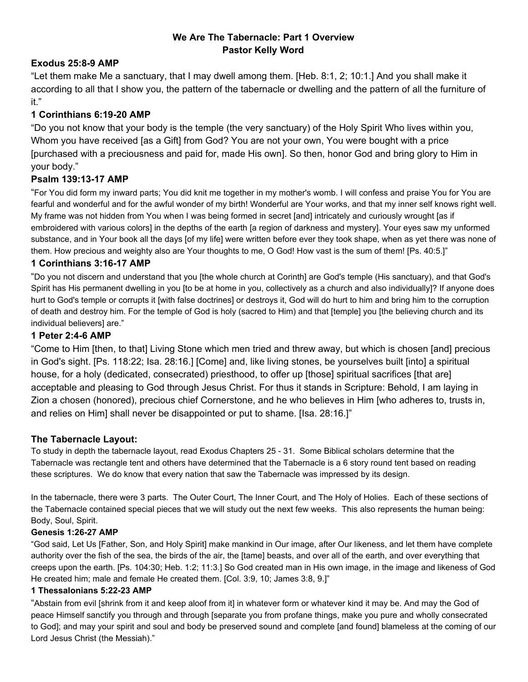#### **We Are The Tabernacle: Part 1 Overview Pastor Kelly Word**

## **Exodus 25:8-9 AMP**

"Let them make Me a sanctuary, that I may dwell among them. [Heb. 8:1, 2; 10:1.] And you shall make it according to all that I show you, the pattern of the tabernacle or dwelling and the pattern of all the furniture of it."

## **1 Corinthians 6:19-20 AMP**

"Do you not know that your body is the temple (the very sanctuary) of the Holy Spirit Who lives within you, Whom you have received [as a Gift] from God? You are not your own, You were bought with a price [purchased with a preciousness and paid for, made His own]. So then, honor God and bring glory to Him in your body."

## **Psalm 139:13-17 AMP**

"For You did form my inward parts; You did knit me together in my mother's womb. I will confess and praise You for You are fearful and wonderful and for the awful wonder of my birth! Wonderful are Your works, and that my inner self knows right well. My frame was not hidden from You when I was being formed in secret [and] intricately and curiously wrought [as if embroidered with various colors] in the depths of the earth [a region of darkness and mystery]. Your eyes saw my unformed substance, and in Your book all the days [of my life] were written before ever they took shape, when as yet there was none of them. How precious and weighty also are Your thoughts to me, O God! How vast is the sum of them! [Ps. 40:5.]"

#### **1 Corinthians 3:16-17 AMP**

"Do you not discern and understand that you [the whole church at Corinth] are God's temple (His sanctuary), and that God's Spirit has His permanent dwelling in you [to be at home in you, collectively as a church and also individually]? If anyone does hurt to God's temple or corrupts it [with false doctrines] or destroys it, God will do hurt to him and bring him to the corruption of death and destroy him. For the temple of God is holy (sacred to Him) and that [temple] you [the believing church and its individual believers] are."

## **1 Peter 2:4-6 AMP**

"Come to Him [then, to that] Living Stone which men tried and threw away, but which is chosen [and] precious in God's sight. [Ps. 118:22; Isa. 28:16.] [Come] and, like living stones, be yourselves built [into] a spiritual house, for a holy (dedicated, consecrated) priesthood, to offer up [those] spiritual sacrifices [that are] acceptable and pleasing to God through Jesus Christ. For thus it stands in Scripture: Behold, I am laying in Zion a chosen (honored), precious chief Cornerstone, and he who believes in Him [who adheres to, trusts in, and relies on Him] shall never be disappointed or put to shame. [Isa. 28:16.]"

## **The Tabernacle Layout:**

To study in depth the tabernacle layout, read Exodus Chapters 25 - 31. Some Biblical scholars determine that the Tabernacle was rectangle tent and others have determined that the Tabernacle is a 6 story round tent based on reading these scriptures. We do know that every nation that saw the Tabernacle was impressed by its design.

In the tabernacle, there were 3 parts. The Outer Court, The Inner Court, and The Holy of Holies. Each of these sections of the Tabernacle contained special pieces that we will study out the next few weeks. This also represents the human being: Body, Soul, Spirit.

#### **Genesis 1:26-27 AMP**

"God said, Let Us [Father, Son, and Holy Spirit] make mankind in Our image, after Our likeness, and let them have complete authority over the fish of the sea, the birds of the air, the [tame] beasts, and over all of the earth, and over everything that creeps upon the earth. [Ps. 104:30; Heb. 1:2; 11:3.] So God created man in His own image, in the image and likeness of God He created him; male and female He created them. [Col. 3:9, 10; James 3:8, 9.]"

## **1 Thessalonians 5:22-23 AMP**

"Abstain from evil [shrink from it and keep aloof from it] in whatever form or whatever kind it may be. And may the God of peace Himself sanctify you through and through [separate you from profane things, make you pure and wholly consecrated to God]; and may your spirit and soul and body be preserved sound and complete [and found] blameless at the coming of our Lord Jesus Christ (the Messiah)."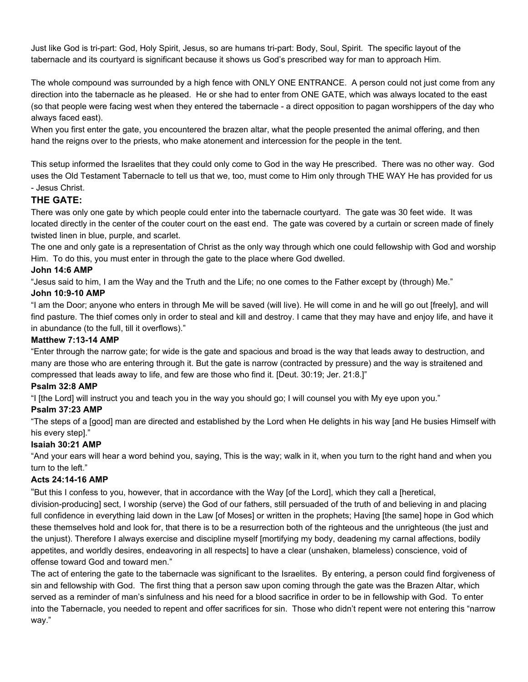Just like God is tri-part: God, Holy Spirit, Jesus, so are humans tri-part: Body, Soul, Spirit. The specific layout of the tabernacle and its courtyard is significant because it shows us God's prescribed way for man to approach Him.

The whole compound was surrounded by a high fence with ONLY ONE ENTRANCE. A person could not just come from any direction into the tabernacle as he pleased. He or she had to enter from ONE GATE, which was always located to the east (so that people were facing west when they entered the tabernacle - a direct opposition to pagan worshippers of the day who always faced east).

When you first enter the gate, you encountered the brazen altar, what the people presented the animal offering, and then hand the reigns over to the priests, who make atonement and intercession for the people in the tent.

This setup informed the Israelites that they could only come to God in the way He prescribed. There was no other way. God uses the Old Testament Tabernacle to tell us that we, too, must come to Him only through THE WAY He has provided for us - Jesus Christ.

#### **THE GATE:**

There was only one gate by which people could enter into the tabernacle courtyard. The gate was 30 feet wide. It was located directly in the center of the couter court on the east end. The gate was covered by a curtain or screen made of finely twisted linen in blue, purple, and scarlet.

The one and only gate is a representation of Christ as the only way through which one could fellowship with God and worship Him. To do this, you must enter in through the gate to the place where God dwelled.

#### **John 14:6 AMP**

"Jesus said to him, I am the Way and the Truth and the Life; no one comes to the Father except by (through) Me."

#### **John 10:9-10 AMP**

"I am the Door; anyone who enters in through Me will be saved (will live). He will come in and he will go out [freely], and will find pasture. The thief comes only in order to steal and kill and destroy. I came that they may have and enjoy life, and have it in abundance (to the full, till it overflows)."

#### **Matthew 7:13-14 AMP**

"Enter through the narrow gate; for wide is the gate and spacious and broad is the way that leads away to destruction, and many are those who are entering through it. But the gate is narrow (contracted by pressure) and the way is straitened and compressed that leads away to life, and few are those who find it. [Deut. 30:19; Jer. 21:8.]"

#### **Psalm 32:8 AMP**

"I [the Lord] will instruct you and teach you in the way you should go; I will counsel you with My eye upon you."

#### **Psalm 37:23 AMP**

"The steps of a [good] man are directed and established by the Lord when He delights in his way [and He busies Himself with his every step]."

#### **Isaiah 30:21 AMP**

"And your ears will hear a word behind you, saying, This is the way; walk in it, when you turn to the right hand and when you turn to the left."

#### **Acts 24:14-16 AMP**

"But this I confess to you, however, that in accordance with the Way [of the Lord], which they call a [heretical,

division-producing] sect, I worship (serve) the God of our fathers, still persuaded of the truth of and believing in and placing full confidence in everything laid down in the Law [of Moses] or written in the prophets; Having [the same] hope in God which these themselves hold and look for, that there is to be a resurrection both of the righteous and the unrighteous (the just and the unjust). Therefore I always exercise and discipline myself [mortifying my body, deadening my carnal affections, bodily appetites, and worldly desires, endeavoring in all respects] to have a clear (unshaken, blameless) conscience, void of offense toward God and toward men."

The act of entering the gate to the tabernacle was significant to the Israelites. By entering, a person could find forgiveness of sin and fellowship with God. The first thing that a person saw upon coming through the gate was the Brazen Altar, which served as a reminder of man's sinfulness and his need for a blood sacrifice in order to be in fellowship with God. To enter into the Tabernacle, you needed to repent and offer sacrifices for sin. Those who didn't repent were not entering this "narrow way."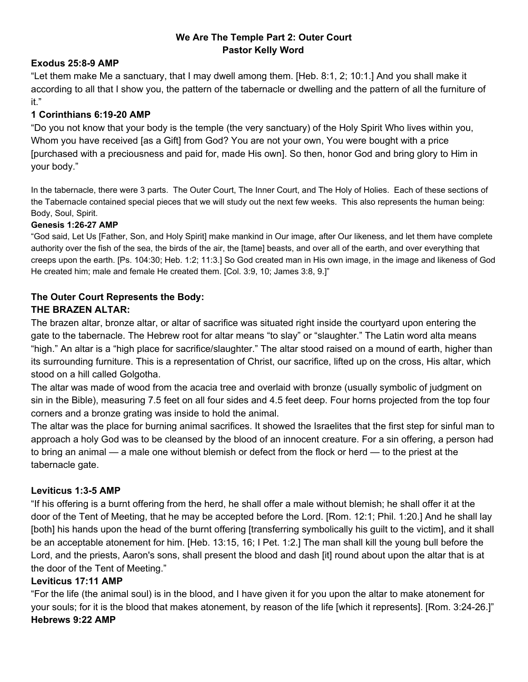## **We Are The Temple Part 2: Outer Court Pastor Kelly Word**

## **Exodus 25:8-9 AMP**

"Let them make Me a sanctuary, that I may dwell among them. [Heb. 8:1, 2; 10:1.] And you shall make it according to all that I show you, the pattern of the tabernacle or dwelling and the pattern of all the furniture of it."

## **1 Corinthians 6:19-20 AMP**

"Do you not know that your body is the temple (the very sanctuary) of the Holy Spirit Who lives within you, Whom you have received [as a Gift] from God? You are not your own, You were bought with a price [purchased with a preciousness and paid for, made His own]. So then, honor God and bring glory to Him in your body."

In the tabernacle, there were 3 parts. The Outer Court, The Inner Court, and The Holy of Holies. Each of these sections of the Tabernacle contained special pieces that we will study out the next few weeks. This also represents the human being: Body, Soul, Spirit.

#### **Genesis 1:26-27 AMP**

"God said, Let Us [Father, Son, and Holy Spirit] make mankind in Our image, after Our likeness, and let them have complete authority over the fish of the sea, the birds of the air, the [tame] beasts, and over all of the earth, and over everything that creeps upon the earth. [Ps. 104:30; Heb. 1:2; 11:3.] So God created man in His own image, in the image and likeness of God He created him; male and female He created them. [Col. 3:9, 10; James 3:8, 9.]"

## **The Outer Court Represents the Body:**

## **THE BRAZEN ALTAR:**

The brazen altar, bronze altar, or altar of sacrifice was situated right inside the courtyard upon entering the gate to the tabernacle. The Hebrew root for altar means "to slay" or "slaughter." The Latin word alta means "high." An altar is a "high place for sacrifice/slaughter." The altar stood raised on a mound of earth, higher than its surrounding furniture. This is a representation of Christ, our sacrifice, lifted up on the cross, His altar, which stood on a hill called Golgotha.

The altar was made of wood from the acacia tree and overlaid with bronze (usually symbolic of judgment on sin in the Bible), measuring 7.5 feet on all four sides and 4.5 feet deep. Four horns projected from the top four corners and a bronze grating was inside to hold the animal.

The altar was the place for burning animal sacrifices. It showed the Israelites that the first step for sinful man to approach a holy God was to be cleansed by the blood of an innocent creature. For a sin offering, a person had to bring an animal — a male one without blemish or defect from the flock or herd — to the priest at the tabernacle gate.

## **Leviticus 1:3-5 AMP**

"If his offering is a burnt offering from the herd, he shall offer a male without blemish; he shall offer it at the door of the Tent of Meeting, that he may be accepted before the Lord. [Rom. 12:1; Phil. 1:20.] And he shall lay [both] his hands upon the head of the burnt offering [transferring symbolically his guilt to the victim], and it shall be an acceptable atonement for him. [Heb. 13:15, 16; I Pet. 1:2.] The man shall kill the young bull before the Lord, and the priests, Aaron's sons, shall present the blood and dash [it] round about upon the altar that is at the door of the Tent of Meeting."

## **Leviticus 17:11 AMP**

"For the life (the animal soul) is in the blood, and I have given it for you upon the altar to make atonement for your souls; for it is the blood that makes atonement, by reason of the life [which it represents]. [Rom. 3:24-26.]" **Hebrews 9:22 AMP**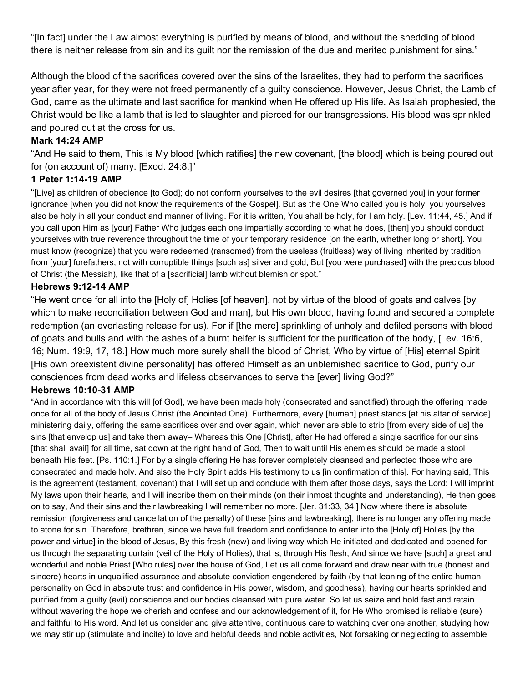"[In fact] under the Law almost everything is purified by means of blood, and without the shedding of blood there is neither release from sin and its guilt nor the remission of the due and merited punishment for sins."

Although the blood of the sacrifices covered over the sins of the Israelites, they had to perform the sacrifices year after year, for they were not freed permanently of a guilty conscience. However, Jesus Christ, the Lamb of God, came as the ultimate and last sacrifice for mankind when He offered up His life. As Isaiah prophesied, the Christ would be like a lamb that is led to slaughter and pierced for our transgressions. His blood was sprinkled and poured out at the cross for us.

#### **Mark 14:24 AMP**

"And He said to them, This is My blood [which ratifies] the new covenant, [the blood] which is being poured out for (on account of) many. [Exod. 24:8.]"

#### **1 Peter 1:14-19 AMP**

"[Live] as children of obedience [to God]; do not conform yourselves to the evil desires [that governed you] in your former ignorance [when you did not know the requirements of the Gospel]. But as the One Who called you is holy, you yourselves also be holy in all your conduct and manner of living. For it is written, You shall be holy, for I am holy. [Lev. 11:44, 45.] And if you call upon Him as [your] Father Who judges each one impartially according to what he does, [then] you should conduct yourselves with true reverence throughout the time of your temporary residence [on the earth, whether long or short]. You must know (recognize) that you were redeemed (ransomed) from the useless (fruitless) way of living inherited by tradition from [your] forefathers, not with corruptible things [such as] silver and gold, But [you were purchased] with the precious blood of Christ (the Messiah), like that of a [sacrificial] lamb without blemish or spot."

#### **Hebrews 9:12-14 AMP**

"He went once for all into the [Holy of] Holies [of heaven], not by virtue of the blood of goats and calves [by which to make reconciliation between God and man], but His own blood, having found and secured a complete redemption (an everlasting release for us). For if [the mere] sprinkling of unholy and defiled persons with blood of goats and bulls and with the ashes of a burnt heifer is sufficient for the purification of the body, [Lev. 16:6, 16; Num. 19:9, 17, 18.] How much more surely shall the blood of Christ, Who by virtue of [His] eternal Spirit [His own preexistent divine personality] has offered Himself as an unblemished sacrifice to God, purify our consciences from dead works and lifeless observances to serve the [ever] living God?"

#### **Hebrews 10:10-31 AMP**

"And in accordance with this will [of God], we have been made holy (consecrated and sanctified) through the offering made once for all of the body of Jesus Christ (the Anointed One). Furthermore, every [human] priest stands [at his altar of service] ministering daily, offering the same sacrifices over and over again, which never are able to strip [from every side of us] the sins [that envelop us] and take them away– Whereas this One [Christ], after He had offered a single sacrifice for our sins [that shall avail] for all time, sat down at the right hand of God, Then to wait until His enemies should be made a stool beneath His feet. [Ps. 110:1.] For by a single offering He has forever completely cleansed and perfected those who are consecrated and made holy. And also the Holy Spirit adds His testimony to us [in confirmation of this]. For having said, This is the agreement (testament, covenant) that I will set up and conclude with them after those days, says the Lord: I will imprint My laws upon their hearts, and I will inscribe them on their minds (on their inmost thoughts and understanding), He then goes on to say, And their sins and their lawbreaking I will remember no more. [Jer. 31:33, 34.] Now where there is absolute remission (forgiveness and cancellation of the penalty) of these [sins and lawbreaking], there is no longer any offering made to atone for sin. Therefore, brethren, since we have full freedom and confidence to enter into the [Holy of] Holies [by the power and virtue] in the blood of Jesus, By this fresh (new) and living way which He initiated and dedicated and opened for us through the separating curtain (veil of the Holy of Holies), that is, through His flesh, And since we have [such] a great and wonderful and noble Priest [Who rules] over the house of God, Let us all come forward and draw near with true (honest and sincere) hearts in unqualified assurance and absolute conviction engendered by faith (by that leaning of the entire human personality on God in absolute trust and confidence in His power, wisdom, and goodness), having our hearts sprinkled and purified from a guilty (evil) conscience and our bodies cleansed with pure water. So let us seize and hold fast and retain without wavering the hope we cherish and confess and our acknowledgement of it, for He Who promised is reliable (sure) and faithful to His word. And let us consider and give attentive, continuous care to watching over one another, studying how we may stir up (stimulate and incite) to love and helpful deeds and noble activities, Not forsaking or neglecting to assemble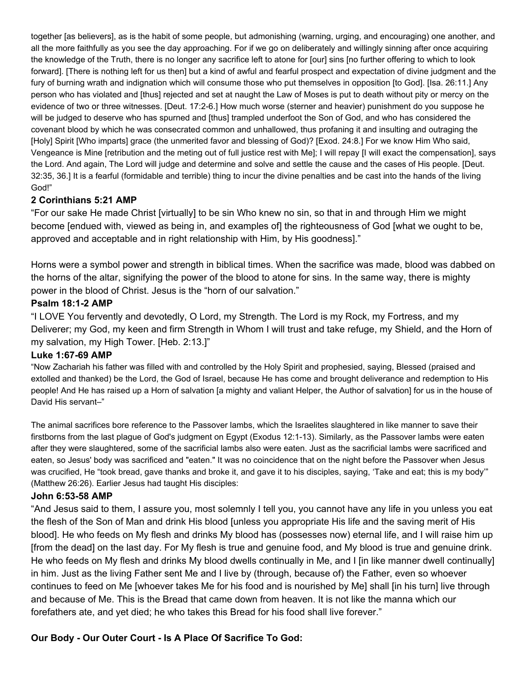together [as believers], as is the habit of some people, but admonishing (warning, urging, and encouraging) one another, and all the more faithfully as you see the day approaching. For if we go on deliberately and willingly sinning after once acquiring the knowledge of the Truth, there is no longer any sacrifice left to atone for [our] sins [no further offering to which to look forward]. [There is nothing left for us then] but a kind of awful and fearful prospect and expectation of divine judgment and the fury of burning wrath and indignation which will consume those who put themselves in opposition [to God]. [Isa. 26:11.] Any person who has violated and [thus] rejected and set at naught the Law of Moses is put to death without pity or mercy on the evidence of two or three witnesses. [Deut. 17:2-6.] How much worse (sterner and heavier) punishment do you suppose he will be judged to deserve who has spurned and [thus] trampled underfoot the Son of God, and who has considered the covenant blood by which he was consecrated common and unhallowed, thus profaning it and insulting and outraging the [Holy] Spirit [Who imparts] grace (the unmerited favor and blessing of God)? [Exod. 24:8.] For we know Him Who said, Vengeance is Mine [retribution and the meting out of full justice rest with Me]; I will repay [I will exact the compensation], says the Lord. And again, The Lord will judge and determine and solve and settle the cause and the cases of His people. [Deut. 32:35, 36.] It is a fearful (formidable and terrible) thing to incur the divine penalties and be cast into the hands of the living God!"

#### **2 Corinthians 5:21 AMP**

"For our sake He made Christ [virtually] to be sin Who knew no sin, so that in and through Him we might become [endued with, viewed as being in, and examples of] the righteousness of God [what we ought to be, approved and acceptable and in right relationship with Him, by His goodness]."

Horns were a symbol power and strength in biblical times. When the sacrifice was made, blood was dabbed on the horns of the altar, signifying the power of the blood to atone for sins. In the same way, there is mighty power in the blood of Christ. Jesus is the "horn of our salvation."

#### **Psalm 18:1-2 AMP**

"I LOVE You fervently and devotedly, O Lord, my Strength. The Lord is my Rock, my Fortress, and my Deliverer; my God, my keen and firm Strength in Whom I will trust and take refuge, my Shield, and the Horn of my salvation, my High Tower. [Heb. 2:13.]"

#### **Luke 1:67-69 AMP**

"Now Zachariah his father was filled with and controlled by the Holy Spirit and prophesied, saying, Blessed (praised and extolled and thanked) be the Lord, the God of Israel, because He has come and brought deliverance and redemption to His people! And He has raised up a Horn of salvation [a mighty and valiant Helper, the Author of salvation] for us in the house of David His servant–"

The animal sacrifices bore reference to the Passover lambs, which the Israelites slaughtered in like manner to save their firstborns from the last plague of God's judgment on Egypt (Exodus 12:1-13). Similarly, as the Passover lambs were eaten after they were slaughtered, some of the sacrificial lambs also were eaten. Just as the sacrificial lambs were sacrificed and eaten, so Jesus' body was sacrificed and "eaten." It was no coincidence that on the night before the Passover when Jesus was crucified, He "took bread, gave thanks and broke it, and gave it to his disciples, saying, 'Take and eat; this is my body'" (Matthew 26:26). Earlier Jesus had taught His disciples:

#### **John 6:53-58 AMP**

"And Jesus said to them, I assure you, most solemnly I tell you, you cannot have any life in you unless you eat the flesh of the Son of Man and drink His blood [unless you appropriate His life and the saving merit of His blood]. He who feeds on My flesh and drinks My blood has (possesses now) eternal life, and I will raise him up [from the dead] on the last day. For My flesh is true and genuine food, and My blood is true and genuine drink. He who feeds on My flesh and drinks My blood dwells continually in Me, and I [in like manner dwell continually] in him. Just as the living Father sent Me and I live by (through, because of) the Father, even so whoever continues to feed on Me [whoever takes Me for his food and is nourished by Me] shall [in his turn] live through and because of Me. This is the Bread that came down from heaven. It is not like the manna which our forefathers ate, and yet died; he who takes this Bread for his food shall live forever."

## **Our Body - Our Outer Court - Is A Place Of Sacrifice To God:**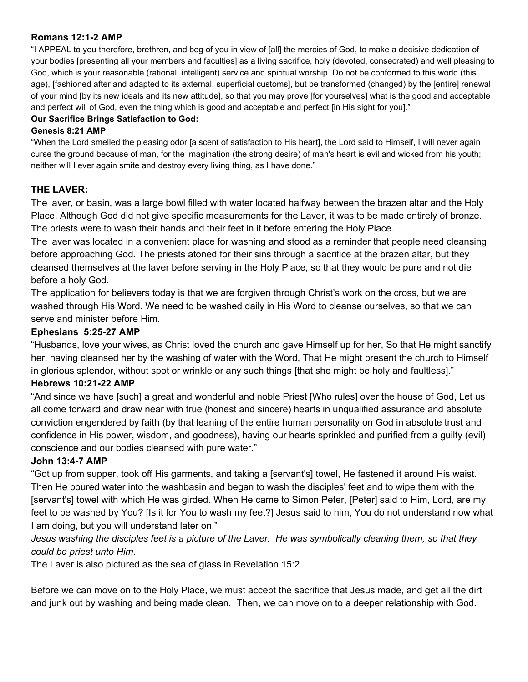#### **Romans 12:1-2 AMP**

"I APPEAL to you therefore, brethren, and beg of you in view of [all] the mercies of God, to make a decisive dedication of your bodies [presenting all your members and faculties] as a living sacrifice, holy (devoted, consecrated) and well pleasing to God, which is your reasonable (rational, intelligent) service and spiritual worship. Do not be conformed to this world (this age), [fashioned after and adapted to its external, superficial customs], but be transformed (changed) by the [entire] renewal of your mind [by its new ideals and its new attitude], so that you may prove [for yourselves] what is the good and acceptable and perfect will of God, even the thing which is good and acceptable and perfect [in His sight for you]."

#### **Our Sacrifice Brings Satisfaction to God:**

#### **Genesis 8:21 AMP**

"When the Lord smelled the pleasing odor [a scent of satisfaction to His heart], the Lord said to Himself, I will never again curse the ground because of man, for the imagination (the strong desire) of man's heart is evil and wicked from his youth; neither will I ever again smite and destroy every living thing, as I have done."

## **THE LAVER:**

The laver, or basin, was a large bowl filled with water located halfway between the brazen altar and the Holy Place. Although God did not give specific measurements for the Laver, it was to be made entirely of bronze. The priests were to wash their hands and their feet in it before entering the Holy Place.

The laver was located in a convenient place for washing and stood as a reminder that people need cleansing before approaching God. The priests atoned for their sins through a sacrifice at the brazen altar, but they cleansed themselves at the laver before serving in the Holy Place, so that they would be pure and not die before a holy God.

The application for believers today is that we are forgiven through Christ's work on the cross, but we are washed through His Word. We need to be washed daily in His Word to cleanse ourselves, so that we can serve and minister before Him.

#### **Ephesians 5:25-27 AMP**

"Husbands, love your wives, as Christ loved the church and gave Himself up for her, So that He might sanctify her, having cleansed her by the washing of water with the Word, That He might present the church to Himself in glorious splendor, without spot or wrinkle or any such things [that she might be holy and faultless]."

## **Hebrews 10:21-22 AMP**

"And since we have [such] a great and wonderful and noble Priest [Who rules] over the house of God, Let us all come forward and draw near with true (honest and sincere) hearts in unqualified assurance and absolute conviction engendered by faith (by that leaning of the entire human personality on God in absolute trust and confidence in His power, wisdom, and goodness), having our hearts sprinkled and purified from a guilty (evil) conscience and our bodies cleansed with pure water."

## **John 13:4-7 AMP**

"Got up from supper, took off His garments, and taking a [servant's] towel, He fastened it around His waist. Then He poured water into the washbasin and began to wash the disciples' feet and to wipe them with the [servant's] towel with which He was girded. When He came to Simon Peter, [Peter] said to Him, Lord, are my feet to be washed by You? [Is it for You to wash my feet?] Jesus said to him, You do not understand now what I am doing, but you will understand later on."

*Jesus washing the disciples feet is a picture of the Laver. He was symbolically cleaning them, so that they could be priest unto Him.*

The Laver is also pictured as the sea of glass in Revelation 15:2.

Before we can move on to the Holy Place, we must accept the sacrifice that Jesus made, and get all the dirt and junk out by washing and being made clean. Then, we can move on to a deeper relationship with God.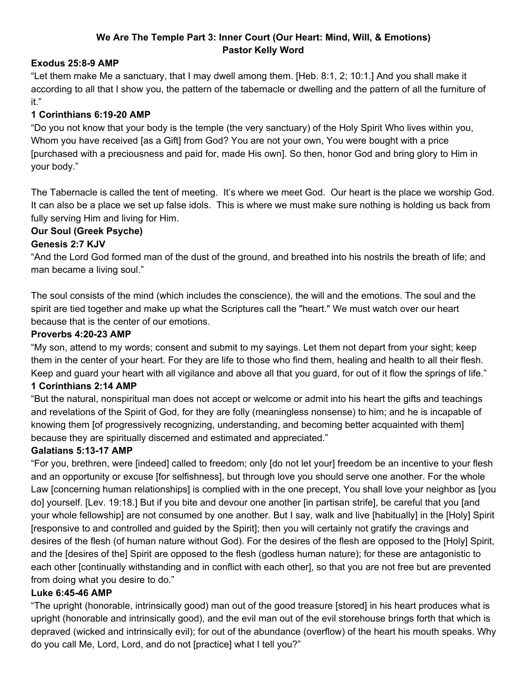# **We Are The Temple Part 3: Inner Court (Our Heart: Mind, Will, & Emotions) Pastor Kelly Word**

# **Exodus 25:8-9 AMP**

"Let them make Me a sanctuary, that I may dwell among them. [Heb. 8:1, 2; 10:1.] And you shall make it according to all that I show you, the pattern of the tabernacle or dwelling and the pattern of all the furniture of it."

## **1 Corinthians 6:19-20 AMP**

"Do you not know that your body is the temple (the very sanctuary) of the Holy Spirit Who lives within you, Whom you have received [as a Gift] from God? You are not your own, You were bought with a price [purchased with a preciousness and paid for, made His own]. So then, honor God and bring glory to Him in your body."

The Tabernacle is called the tent of meeting. It's where we meet God. Our heart is the place we worship God. It can also be a place we set up false idols. This is where we must make sure nothing is holding us back from fully serving Him and living for Him.

## **Our Soul (Greek Psyche)**

## **Genesis 2:7 KJV**

"And the Lord God formed man of the dust of the ground, and breathed into his nostrils the breath of life; and man became a living soul."

The soul consists of the mind (which includes the conscience), the will and the emotions. The soul and the spirit are tied together and make up what the Scriptures call the "heart." We must watch over our heart because that is the center of our emotions.

## **Proverbs 4:20-23 AMP**

"My son, attend to my words; consent and submit to my sayings. Let them not depart from your sight; keep them in the center of your heart. For they are life to those who find them, healing and health to all their flesh. Keep and guard your heart with all vigilance and above all that you guard, for out of it flow the springs of life."

# **1 Corinthians 2:14 AMP**

"But the natural, nonspiritual man does not accept or welcome or admit into his heart the gifts and teachings and revelations of the Spirit of God, for they are folly (meaningless nonsense) to him; and he is incapable of knowing them [of progressively recognizing, understanding, and becoming better acquainted with them] because they are spiritually discerned and estimated and appreciated."

## **Galatians 5:13-17 AMP**

"For you, brethren, were [indeed] called to freedom; only [do not let your] freedom be an incentive to your flesh and an opportunity or excuse [for selfishness], but through love you should serve one another. For the whole Law [concerning human relationships] is complied with in the one precept, You shall love your neighbor as [you do] yourself. [Lev. 19:18.] But if you bite and devour one another [in partisan strife], be careful that you [and your whole fellowship] are not consumed by one another. But I say, walk and live [habitually] in the [Holy] Spirit [responsive to and controlled and guided by the Spirit]; then you will certainly not gratify the cravings and desires of the flesh (of human nature without God). For the desires of the flesh are opposed to the [Holy] Spirit, and the [desires of the] Spirit are opposed to the flesh (godless human nature); for these are antagonistic to each other [continually withstanding and in conflict with each other], so that you are not free but are prevented from doing what you desire to do."

## **Luke 6:45-46 AMP**

"The upright (honorable, intrinsically good) man out of the good treasure [stored] in his heart produces what is upright (honorable and intrinsically good), and the evil man out of the evil storehouse brings forth that which is depraved (wicked and intrinsically evil); for out of the abundance (overflow) of the heart his mouth speaks. Why do you call Me, Lord, Lord, and do not [practice] what I tell you?"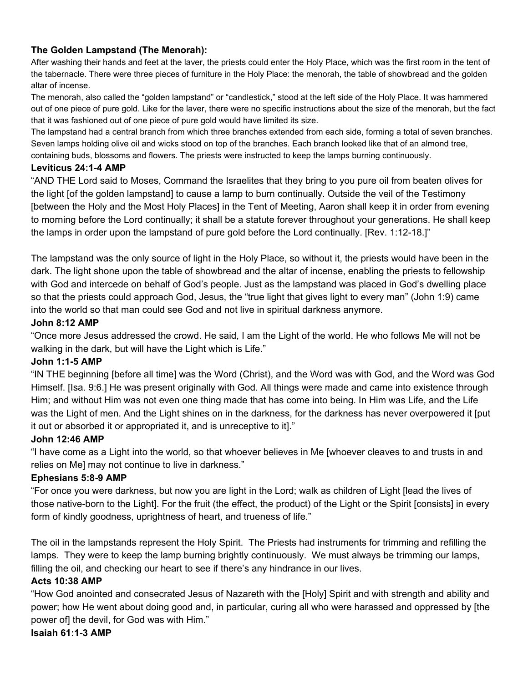#### **The Golden Lampstand (The Menorah):**

After washing their hands and feet at the laver, the priests could enter the Holy Place, which was the first room in the tent of the tabernacle. There were three pieces of furniture in the Holy Place: the menorah, the table of showbread and the golden altar of incense.

The menorah, also called the "golden lampstand" or "candlestick," stood at the left side of the Holy Place. It was hammered out of one piece of pure gold. Like for the laver, there were no specific instructions about the size of the menorah, but the fact that it was fashioned out of one piece of pure gold would have limited its size.

The lampstand had a central branch from which three branches extended from each side, forming a total of seven branches. Seven lamps holding olive oil and wicks stood on top of the branches. Each branch looked like that of an almond tree, containing buds, blossoms and flowers. The priests were instructed to keep the lamps burning continuously.

#### **Leviticus 24:1-4 AMP**

"AND THE Lord said to Moses, Command the Israelites that they bring to you pure oil from beaten olives for the light [of the golden lampstand] to cause a lamp to burn continually. Outside the veil of the Testimony [between the Holy and the Most Holy Places] in the Tent of Meeting, Aaron shall keep it in order from evening to morning before the Lord continually; it shall be a statute forever throughout your generations. He shall keep the lamps in order upon the lampstand of pure gold before the Lord continually. [Rev. 1:12-18.]"

The lampstand was the only source of light in the Holy Place, so without it, the priests would have been in the dark. The light shone upon the table of showbread and the altar of incense, enabling the priests to fellowship with God and intercede on behalf of God's people. Just as the lampstand was placed in God's dwelling place so that the priests could approach God, Jesus, the "true light that gives light to every man" (John 1:9) came into the world so that man could see God and not live in spiritual darkness anymore.

#### **John 8:12 AMP**

"Once more Jesus addressed the crowd. He said, I am the Light of the world. He who follows Me will not be walking in the dark, but will have the Light which is Life."

## **John 1:1-5 AMP**

"IN THE beginning [before all time] was the Word (Christ), and the Word was with God, and the Word was God Himself. [Isa. 9:6.] He was present originally with God. All things were made and came into existence through Him; and without Him was not even one thing made that has come into being. In Him was Life, and the Life was the Light of men. And the Light shines on in the darkness, for the darkness has never overpowered it [put it out or absorbed it or appropriated it, and is unreceptive to it]."

#### **John 12:46 AMP**

"I have come as a Light into the world, so that whoever believes in Me [whoever cleaves to and trusts in and relies on Me] may not continue to live in darkness."

## **Ephesians 5:8-9 AMP**

"For once you were darkness, but now you are light in the Lord; walk as children of Light [lead the lives of those native-born to the Light]. For the fruit (the effect, the product) of the Light or the Spirit [consists] in every form of kindly goodness, uprightness of heart, and trueness of life."

The oil in the lampstands represent the Holy Spirit. The Priests had instruments for trimming and refilling the lamps. They were to keep the lamp burning brightly continuously. We must always be trimming our lamps, filling the oil, and checking our heart to see if there's any hindrance in our lives.

#### **Acts 10:38 AMP**

"How God anointed and consecrated Jesus of Nazareth with the [Holy] Spirit and with strength and ability and power; how He went about doing good and, in particular, curing all who were harassed and oppressed by [the power of] the devil, for God was with Him."

**Isaiah 61:1-3 AMP**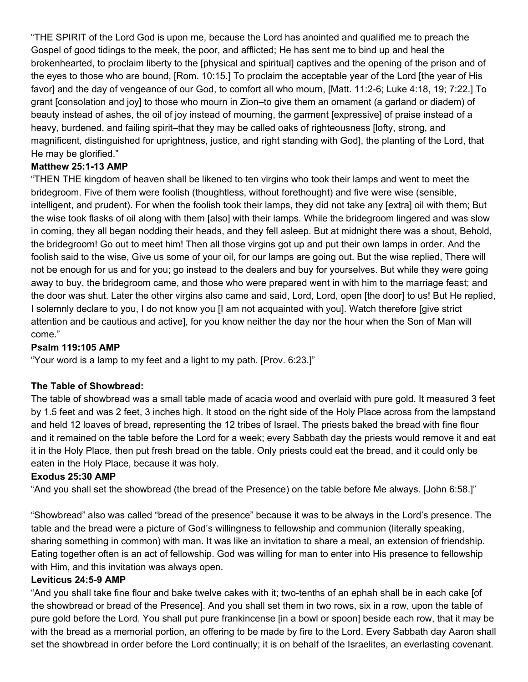"THE SPIRIT of the Lord God is upon me, because the Lord has anointed and qualified me to preach the Gospel of good tidings to the meek, the poor, and afflicted; He has sent me to bind up and heal the brokenhearted, to proclaim liberty to the [physical and spiritual] captives and the opening of the prison and of the eyes to those who are bound, [Rom. 10:15.] To proclaim the acceptable year of the Lord [the year of His favor] and the day of vengeance of our God, to comfort all who mourn, [Matt. 11:2-6; Luke 4:18, 19; 7:22.] To grant [consolation and joy] to those who mourn in Zion–to give them an ornament (a garland or diadem) of beauty instead of ashes, the oil of joy instead of mourning, the garment [expressive] of praise instead of a heavy, burdened, and failing spirit–that they may be called oaks of righteousness [lofty, strong, and magnificent, distinguished for uprightness, justice, and right standing with God], the planting of the Lord, that He may be glorified."

## **Matthew 25:1-13 AMP**

"THEN THE kingdom of heaven shall be likened to ten virgins who took their lamps and went to meet the bridegroom. Five of them were foolish (thoughtless, without forethought) and five were wise (sensible, intelligent, and prudent). For when the foolish took their lamps, they did not take any [extra] oil with them; But the wise took flasks of oil along with them [also] with their lamps. While the bridegroom lingered and was slow in coming, they all began nodding their heads, and they fell asleep. But at midnight there was a shout, Behold, the bridegroom! Go out to meet him! Then all those virgins got up and put their own lamps in order. And the foolish said to the wise, Give us some of your oil, for our lamps are going out. But the wise replied, There will not be enough for us and for you; go instead to the dealers and buy for yourselves. But while they were going away to buy, the bridegroom came, and those who were prepared went in with him to the marriage feast; and the door was shut. Later the other virgins also came and said, Lord, Lord, open [the door] to us! But He replied, I solemnly declare to you, I do not know you [I am not acquainted with you]. Watch therefore [give strict attention and be cautious and active], for you know neither the day nor the hour when the Son of Man will come."

## **Psalm 119:105 AMP**

"Your word is a lamp to my feet and a light to my path. [Prov. 6:23.]"

## **The Table of Showbread:**

The table of showbread was a small table made of acacia wood and overlaid with pure gold. It measured 3 feet by 1.5 feet and was 2 feet, 3 inches high. It stood on the right side of the Holy Place across from the lampstand and held 12 loaves of bread, representing the 12 tribes of Israel. The priests baked the bread with fine flour and it remained on the table before the Lord for a week; every Sabbath day the priests would remove it and eat it in the Holy Place, then put fresh bread on the table. Only priests could eat the bread, and it could only be eaten in the Holy Place, because it was holy.

#### **Exodus 25:30 AMP**

"And you shall set the showbread (the bread of the Presence) on the table before Me always. [John 6:58.]"

"Showbread" also was called "bread of the presence" because it was to be always in the Lord's presence. The table and the bread were a picture of God's willingness to fellowship and communion (literally speaking, sharing something in common) with man. It was like an invitation to share a meal, an extension of friendship. Eating together often is an act of fellowship. God was willing for man to enter into His presence to fellowship with Him, and this invitation was always open.

#### **Leviticus 24:5-9 AMP**

"And you shall take fine flour and bake twelve cakes with it; two-tenths of an ephah shall be in each cake [of the showbread or bread of the Presence]. And you shall set them in two rows, six in a row, upon the table of pure gold before the Lord. You shall put pure frankincense [in a bowl or spoon] beside each row, that it may be with the bread as a memorial portion, an offering to be made by fire to the Lord. Every Sabbath day Aaron shall set the showbread in order before the Lord continually; it is on behalf of the Israelites, an everlasting covenant.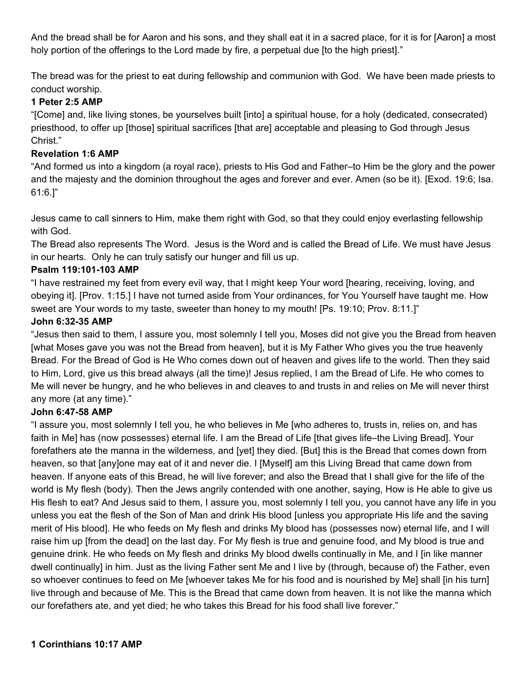And the bread shall be for Aaron and his sons, and they shall eat it in a sacred place, for it is for [Aaron] a most holy portion of the offerings to the Lord made by fire, a perpetual due [to the high priest]."

The bread was for the priest to eat during fellowship and communion with God. We have been made priests to conduct worship.

## **1 Peter 2:5 AMP**

"[Come] and, like living stones, be yourselves built [into] a spiritual house, for a holy (dedicated, consecrated) priesthood, to offer up [those] spiritual sacrifices [that are] acceptable and pleasing to God through Jesus Christ."

#### **Revelation 1:6 AMP**

"And formed us into a kingdom (a royal race), priests to His God and Father–to Him be the glory and the power and the majesty and the dominion throughout the ages and forever and ever. Amen (so be it). [Exod. 19:6; Isa. 61:6.]"

Jesus came to call sinners to Him, make them right with God, so that they could enjoy everlasting fellowship with God.

The Bread also represents The Word. Jesus is the Word and is called the Bread of Life. We must have Jesus in our hearts. Only he can truly satisfy our hunger and fill us up.

## **Psalm 119:101-103 AMP**

"I have restrained my feet from every evil way, that I might keep Your word [hearing, receiving, loving, and obeying it]. [Prov. 1:15.] I have not turned aside from Your ordinances, for You Yourself have taught me. How sweet are Your words to my taste, sweeter than honey to my mouth! [Ps. 19:10; Prov. 8:11.]"

#### **John 6:32-35 AMP**

"Jesus then said to them, I assure you, most solemnly I tell you, Moses did not give you the Bread from heaven [what Moses gave you was not the Bread from heaven], but it is My Father Who gives you the true heavenly Bread. For the Bread of God is He Who comes down out of heaven and gives life to the world. Then they said to Him, Lord, give us this bread always (all the time)! Jesus replied, I am the Bread of Life. He who comes to Me will never be hungry, and he who believes in and cleaves to and trusts in and relies on Me will never thirst any more (at any time)."

## **John 6:47-58 AMP**

"I assure you, most solemnly I tell you, he who believes in Me [who adheres to, trusts in, relies on, and has faith in Me] has (now possesses) eternal life. I am the Bread of Life [that gives life–the Living Bread]. Your forefathers ate the manna in the wilderness, and [yet] they died. [But] this is the Bread that comes down from heaven, so that [any]one may eat of it and never die. I [Myself] am this Living Bread that came down from heaven. If anyone eats of this Bread, he will live forever; and also the Bread that I shall give for the life of the world is My flesh (body). Then the Jews angrily contended with one another, saying, How is He able to give us His flesh to eat? And Jesus said to them, I assure you, most solemnly I tell you, you cannot have any life in you unless you eat the flesh of the Son of Man and drink His blood [unless you appropriate His life and the saving merit of His blood]. He who feeds on My flesh and drinks My blood has (possesses now) eternal life, and I will raise him up [from the dead] on the last day. For My flesh is true and genuine food, and My blood is true and genuine drink. He who feeds on My flesh and drinks My blood dwells continually in Me, and I [in like manner dwell continually] in him. Just as the living Father sent Me and I live by (through, because of) the Father, even so whoever continues to feed on Me [whoever takes Me for his food and is nourished by Me] shall [in his turn] live through and because of Me. This is the Bread that came down from heaven. It is not like the manna which our forefathers ate, and yet died; he who takes this Bread for his food shall live forever."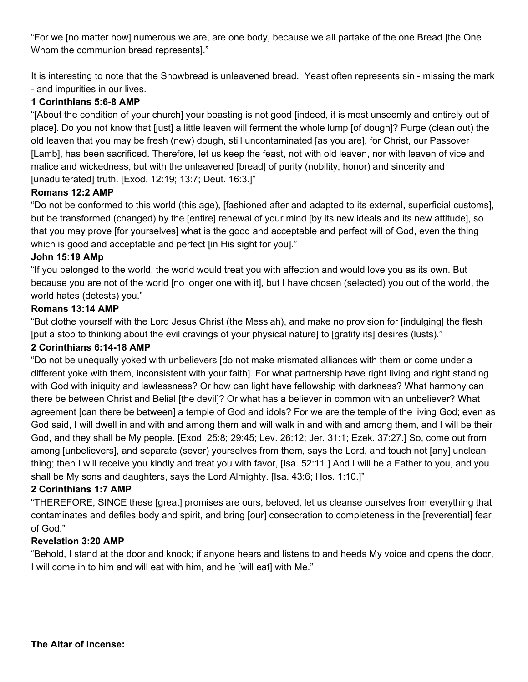"For we [no matter how] numerous we are, are one body, because we all partake of the one Bread [the One Whom the communion bread represents]."

It is interesting to note that the Showbread is unleavened bread. Yeast often represents sin - missing the mark - and impurities in our lives.

## **1 Corinthians 5:6-8 AMP**

"[About the condition of your church] your boasting is not good [indeed, it is most unseemly and entirely out of place]. Do you not know that [just] a little leaven will ferment the whole lump [of dough]? Purge (clean out) the old leaven that you may be fresh (new) dough, still uncontaminated [as you are], for Christ, our Passover [Lamb], has been sacrificed. Therefore, let us keep the feast, not with old leaven, nor with leaven of vice and malice and wickedness, but with the unleavened [bread] of purity (nobility, honor) and sincerity and [unadulterated] truth. [Exod. 12:19; 13:7; Deut. 16:3.]"

## **Romans 12:2 AMP**

"Do not be conformed to this world (this age), [fashioned after and adapted to its external, superficial customs], but be transformed (changed) by the [entire] renewal of your mind [by its new ideals and its new attitude], so that you may prove [for yourselves] what is the good and acceptable and perfect will of God, even the thing which is good and acceptable and perfect [in His sight for you]."

## **John 15:19 AMp**

"If you belonged to the world, the world would treat you with affection and would love you as its own. But because you are not of the world [no longer one with it], but I have chosen (selected) you out of the world, the world hates (detests) you."

#### **Romans 13:14 AMP**

"But clothe yourself with the Lord Jesus Christ (the Messiah), and make no provision for [indulging] the flesh [put a stop to thinking about the evil cravings of your physical nature] to [gratify its] desires (lusts)."

#### **2 Corinthians 6:14-18 AMP**

"Do not be unequally yoked with unbelievers [do not make mismated alliances with them or come under a different yoke with them, inconsistent with your faith]. For what partnership have right living and right standing with God with iniquity and lawlessness? Or how can light have fellowship with darkness? What harmony can there be between Christ and Belial [the devil]? Or what has a believer in common with an unbeliever? What agreement [can there be between] a temple of God and idols? For we are the temple of the living God; even as God said, I will dwell in and with and among them and will walk in and with and among them, and I will be their God, and they shall be My people. [Exod. 25:8; 29:45; Lev. 26:12; Jer. 31:1; Ezek. 37:27.] So, come out from among [unbelievers], and separate (sever) yourselves from them, says the Lord, and touch not [any] unclean thing; then I will receive you kindly and treat you with favor, [Isa. 52:11.] And I will be a Father to you, and you shall be My sons and daughters, says the Lord Almighty. [Isa. 43:6; Hos. 1:10.]"

## **2 Corinthians 1:7 AMP**

"THEREFORE, SINCE these [great] promises are ours, beloved, let us cleanse ourselves from everything that contaminates and defiles body and spirit, and bring [our] consecration to completeness in the [reverential] fear of God."

## **Revelation 3:20 AMP**

"Behold, I stand at the door and knock; if anyone hears and listens to and heeds My voice and opens the door, I will come in to him and will eat with him, and he [will eat] with Me."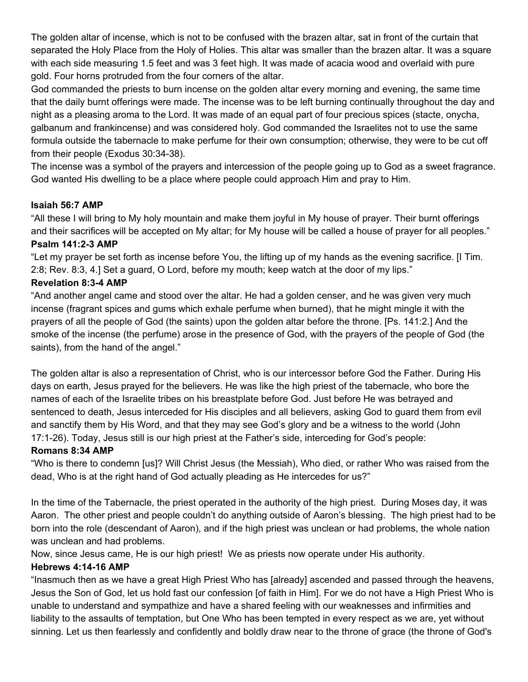The golden altar of incense, which is not to be confused with the brazen altar, sat in front of the curtain that separated the Holy Place from the Holy of Holies. This altar was smaller than the brazen altar. It was a square with each side measuring 1.5 feet and was 3 feet high. It was made of acacia wood and overlaid with pure gold. Four horns protruded from the four corners of the altar.

God commanded the priests to burn incense on the golden altar every morning and evening, the same time that the daily burnt offerings were made. The incense was to be left burning continually throughout the day and night as a pleasing aroma to the Lord. It was made of an equal part of four precious spices (stacte, onycha, galbanum and frankincense) and was considered holy. God commanded the Israelites not to use the same formula outside the tabernacle to make perfume for their own consumption; otherwise, they were to be cut off from their people (Exodus 30:34-38).

The incense was a symbol of the prayers and intercession of the people going up to God as a sweet fragrance. God wanted His dwelling to be a place where people could approach Him and pray to Him.

## **Isaiah 56:7 AMP**

"All these I will bring to My holy mountain and make them joyful in My house of prayer. Their burnt offerings and their sacrifices will be accepted on My altar; for My house will be called a house of prayer for all peoples." **Psalm 141:2-3 AMP**

"Let my prayer be set forth as incense before You, the lifting up of my hands as the evening sacrifice. [I Tim. 2:8; Rev. 8:3, 4.] Set a guard, O Lord, before my mouth; keep watch at the door of my lips."

## **Revelation 8:3-4 AMP**

"And another angel came and stood over the altar. He had a golden censer, and he was given very much incense (fragrant spices and gums which exhale perfume when burned), that he might mingle it with the prayers of all the people of God (the saints) upon the golden altar before the throne. [Ps. 141:2.] And the smoke of the incense (the perfume) arose in the presence of God, with the prayers of the people of God (the saints), from the hand of the angel."

The golden altar is also a representation of Christ, who is our intercessor before God the Father. During His days on earth, Jesus prayed for the believers. He was like the high priest of the tabernacle, who bore the names of each of the Israelite tribes on his breastplate before God. Just before He was betrayed and sentenced to death, Jesus interceded for His disciples and all believers, asking God to guard them from evil and sanctify them by His Word, and that they may see God's glory and be a witness to the world (John 17:1-26). Today, Jesus still is our high priest at the Father's side, interceding for God's people:

## **Romans 8:34 AMP**

"Who is there to condemn [us]? Will Christ Jesus (the Messiah), Who died, or rather Who was raised from the dead, Who is at the right hand of God actually pleading as He intercedes for us?"

In the time of the Tabernacle, the priest operated in the authority of the high priest. During Moses day, it was Aaron. The other priest and people couldn't do anything outside of Aaron's blessing. The high priest had to be born into the role (descendant of Aaron), and if the high priest was unclean or had problems, the whole nation was unclean and had problems.

Now, since Jesus came, He is our high priest! We as priests now operate under His authority.

# **Hebrews 4:14-16 AMP**

"Inasmuch then as we have a great High Priest Who has [already] ascended and passed through the heavens, Jesus the Son of God, let us hold fast our confession [of faith in Him]. For we do not have a High Priest Who is unable to understand and sympathize and have a shared feeling with our weaknesses and infirmities and liability to the assaults of temptation, but One Who has been tempted in every respect as we are, yet without sinning. Let us then fearlessly and confidently and boldly draw near to the throne of grace (the throne of God's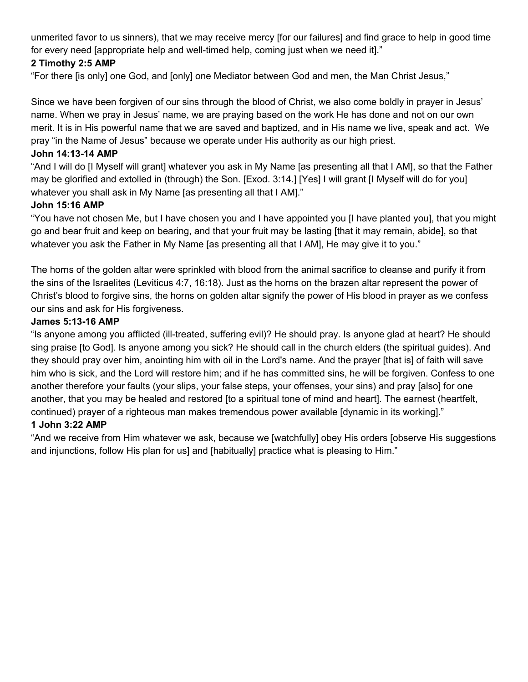unmerited favor to us sinners), that we may receive mercy [for our failures] and find grace to help in good time for every need [appropriate help and well-timed help, coming just when we need it]."

# **2 Timothy 2:5 AMP**

"For there [is only] one God, and [only] one Mediator between God and men, the Man Christ Jesus,"

Since we have been forgiven of our sins through the blood of Christ, we also come boldly in prayer in Jesus' name. When we pray in Jesus' name, we are praying based on the work He has done and not on our own merit. It is in His powerful name that we are saved and baptized, and in His name we live, speak and act. We pray "in the Name of Jesus" because we operate under His authority as our high priest.

#### **John 14:13-14 AMP**

"And I will do [I Myself will grant] whatever you ask in My Name [as presenting all that I AM], so that the Father may be glorified and extolled in (through) the Son. [Exod. 3:14.] [Yes] I will grant [I Myself will do for you] whatever you shall ask in My Name [as presenting all that I AM]."

## **John 15:16 AMP**

"You have not chosen Me, but I have chosen you and I have appointed you [I have planted you], that you might go and bear fruit and keep on bearing, and that your fruit may be lasting [that it may remain, abide], so that whatever you ask the Father in My Name [as presenting all that I AM], He may give it to you."

The horns of the golden altar were sprinkled with blood from the animal sacrifice to cleanse and purify it from the sins of the Israelites (Leviticus 4:7, 16:18). Just as the horns on the brazen altar represent the power of Christ's blood to forgive sins, the horns on golden altar signify the power of His blood in prayer as we confess our sins and ask for His forgiveness.

#### **James 5:13-16 AMP**

"Is anyone among you afflicted (ill-treated, suffering evil)? He should pray. Is anyone glad at heart? He should sing praise [to God]. Is anyone among you sick? He should call in the church elders (the spiritual guides). And they should pray over him, anointing him with oil in the Lord's name. And the prayer [that is] of faith will save him who is sick, and the Lord will restore him; and if he has committed sins, he will be forgiven. Confess to one another therefore your faults (your slips, your false steps, your offenses, your sins) and pray [also] for one another, that you may be healed and restored [to a spiritual tone of mind and heart]. The earnest (heartfelt, continued) prayer of a righteous man makes tremendous power available [dynamic in its working]."

## **1 John 3:22 AMP**

"And we receive from Him whatever we ask, because we [watchfully] obey His orders [observe His suggestions and injunctions, follow His plan for us] and [habitually] practice what is pleasing to Him."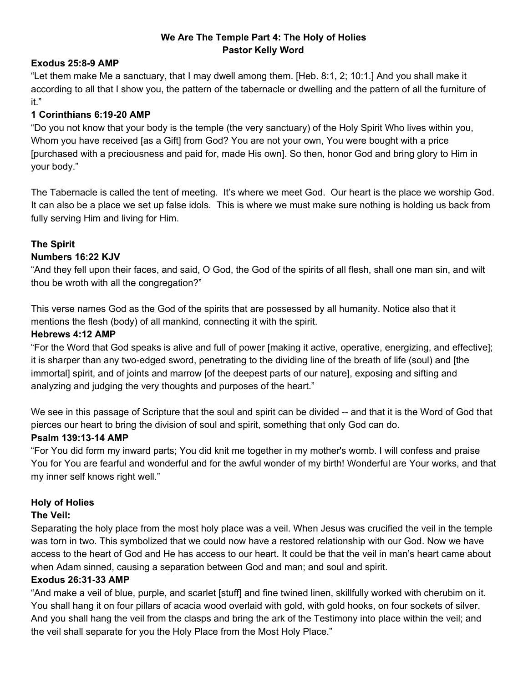## **We Are The Temple Part 4: The Holy of Holies Pastor Kelly Word**

## **Exodus 25:8-9 AMP**

"Let them make Me a sanctuary, that I may dwell among them. [Heb. 8:1, 2; 10:1.] And you shall make it according to all that I show you, the pattern of the tabernacle or dwelling and the pattern of all the furniture of it."

## **1 Corinthians 6:19-20 AMP**

"Do you not know that your body is the temple (the very sanctuary) of the Holy Spirit Who lives within you, Whom you have received [as a Gift] from God? You are not your own, You were bought with a price [purchased with a preciousness and paid for, made His own]. So then, honor God and bring glory to Him in your body."

The Tabernacle is called the tent of meeting. It's where we meet God. Our heart is the place we worship God. It can also be a place we set up false idols. This is where we must make sure nothing is holding us back from fully serving Him and living for Him.

## **The Spirit**

## **Numbers 16:22 KJV**

"And they fell upon their faces, and said, O God, the God of the spirits of all flesh, shall one man sin, and wilt thou be wroth with all the congregation?"

This verse names God as the God of the spirits that are possessed by all humanity. Notice also that it mentions the flesh (body) of all mankind, connecting it with the spirit.

## **Hebrews 4:12 AMP**

"For the Word that God speaks is alive and full of power [making it active, operative, energizing, and effective]; it is sharper than any two-edged sword, penetrating to the dividing line of the breath of life (soul) and [the immortal] spirit, and of joints and marrow [of the deepest parts of our nature], exposing and sifting and analyzing and judging the very thoughts and purposes of the heart."

We see in this passage of Scripture that the soul and spirit can be divided -- and that it is the Word of God that pierces our heart to bring the division of soul and spirit, something that only God can do.

## **Psalm 139:13-14 AMP**

"For You did form my inward parts; You did knit me together in my mother's womb. I will confess and praise You for You are fearful and wonderful and for the awful wonder of my birth! Wonderful are Your works, and that my inner self knows right well."

# **Holy of Holies**

# **The Veil:**

Separating the holy place from the most holy place was a veil. When Jesus was crucified the veil in the temple was torn in two. This symbolized that we could now have a restored relationship with our God. Now we have access to the heart of God and He has access to our heart. It could be that the veil in man's heart came about when Adam sinned, causing a separation between God and man; and soul and spirit.

## **Exodus 26:31-33 AMP**

"And make a veil of blue, purple, and scarlet [stuff] and fine twined linen, skillfully worked with cherubim on it. You shall hang it on four pillars of acacia wood overlaid with gold, with gold hooks, on four sockets of silver. And you shall hang the veil from the clasps and bring the ark of the Testimony into place within the veil; and the veil shall separate for you the Holy Place from the Most Holy Place."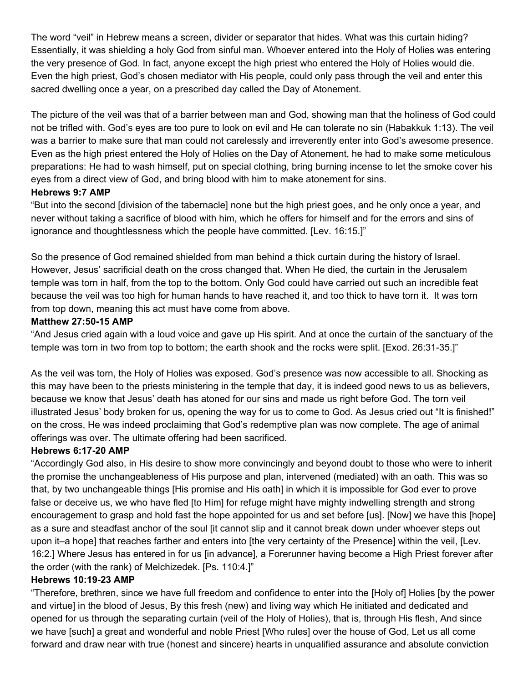The word "veil" in Hebrew means a screen, divider or separator that hides. What was this curtain hiding? Essentially, it was shielding a holy God from sinful man. Whoever entered into the Holy of Holies was entering the very presence of God. In fact, anyone except the high priest who entered the Holy of Holies would die. Even the high priest, God's chosen mediator with His people, could only pass through the veil and enter this sacred dwelling once a year, on a prescribed day called the Day of Atonement.

The picture of the veil was that of a barrier between man and God, showing man that the holiness of God could not be trifled with. God's eyes are too pure to look on evil and He can tolerate no sin (Habakkuk 1:13). The veil was a barrier to make sure that man could not carelessly and irreverently enter into God's awesome presence. Even as the high priest entered the Holy of Holies on the Day of Atonement, he had to make some meticulous preparations: He had to wash himself, put on special clothing, bring burning incense to let the smoke cover his eyes from a direct view of God, and bring blood with him to make atonement for sins.

## **Hebrews 9:7 AMP**

"But into the second [division of the tabernacle] none but the high priest goes, and he only once a year, and never without taking a sacrifice of blood with him, which he offers for himself and for the errors and sins of ignorance and thoughtlessness which the people have committed. [Lev. 16:15.]"

So the presence of God remained shielded from man behind a thick curtain during the history of Israel. However, Jesus' sacrificial death on the cross changed that. When He died, the curtain in the Jerusalem temple was torn in half, from the top to the bottom. Only God could have carried out such an incredible feat because the veil was too high for human hands to have reached it, and too thick to have torn it. It was torn from top down, meaning this act must have come from above.

#### **Matthew 27:50-15 AMP**

"And Jesus cried again with a loud voice and gave up His spirit. And at once the curtain of the sanctuary of the temple was torn in two from top to bottom; the earth shook and the rocks were split. [Exod. 26:31-35.]"

As the veil was torn, the Holy of Holies was exposed. God's presence was now accessible to all. Shocking as this may have been to the priests ministering in the temple that day, it is indeed good news to us as believers, because we know that Jesus' death has atoned for our sins and made us right before God. The torn veil illustrated Jesus' body broken for us, opening the way for us to come to God. As Jesus cried out "It is finished!" on the cross, He was indeed proclaiming that God's redemptive plan was now complete. The age of animal offerings was over. The ultimate offering had been sacrificed.

## **Hebrews 6:17-20 AMP**

"Accordingly God also, in His desire to show more convincingly and beyond doubt to those who were to inherit the promise the unchangeableness of His purpose and plan, intervened (mediated) with an oath. This was so that, by two unchangeable things [His promise and His oath] in which it is impossible for God ever to prove false or deceive us, we who have fled [to Him] for refuge might have mighty indwelling strength and strong encouragement to grasp and hold fast the hope appointed for us and set before [us]. [Now] we have this [hope] as a sure and steadfast anchor of the soul [it cannot slip and it cannot break down under whoever steps out upon it–a hope] that reaches farther and enters into [the very certainty of the Presence] within the veil, [Lev. 16:2.] Where Jesus has entered in for us [in advance], a Forerunner having become a High Priest forever after the order (with the rank) of Melchizedek. [Ps. 110:4.]"

## **Hebrews 10:19-23 AMP**

"Therefore, brethren, since we have full freedom and confidence to enter into the [Holy of] Holies [by the power and virtue] in the blood of Jesus, By this fresh (new) and living way which He initiated and dedicated and opened for us through the separating curtain (veil of the Holy of Holies), that is, through His flesh, And since we have [such] a great and wonderful and noble Priest [Who rules] over the house of God, Let us all come forward and draw near with true (honest and sincere) hearts in unqualified assurance and absolute conviction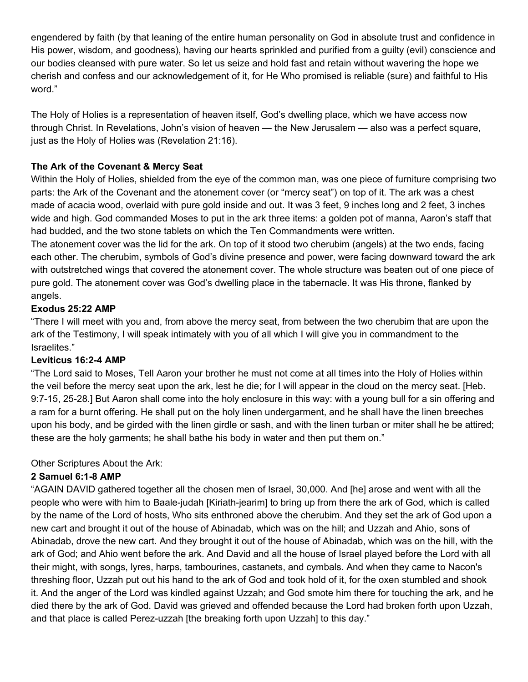engendered by faith (by that leaning of the entire human personality on God in absolute trust and confidence in His power, wisdom, and goodness), having our hearts sprinkled and purified from a guilty (evil) conscience and our bodies cleansed with pure water. So let us seize and hold fast and retain without wavering the hope we cherish and confess and our acknowledgement of it, for He Who promised is reliable (sure) and faithful to His word."

The Holy of Holies is a representation of heaven itself, God's dwelling place, which we have access now through Christ. In Revelations, John's vision of heaven — the New Jerusalem — also was a perfect square, just as the Holy of Holies was (Revelation 21:16).

## **The Ark of the Covenant & Mercy Seat**

Within the Holy of Holies, shielded from the eye of the common man, was one piece of furniture comprising two parts: the Ark of the Covenant and the atonement cover (or "mercy seat") on top of it. The ark was a chest made of acacia wood, overlaid with pure gold inside and out. It was 3 feet, 9 inches long and 2 feet, 3 inches wide and high. God commanded Moses to put in the ark three items: a golden pot of manna, Aaron's staff that had budded, and the two stone tablets on which the Ten Commandments were written.

The atonement cover was the lid for the ark. On top of it stood two cherubim (angels) at the two ends, facing each other. The cherubim, symbols of God's divine presence and power, were facing downward toward the ark with outstretched wings that covered the atonement cover. The whole structure was beaten out of one piece of pure gold. The atonement cover was God's dwelling place in the tabernacle. It was His throne, flanked by angels.

## **Exodus 25:22 AMP**

"There I will meet with you and, from above the mercy seat, from between the two cherubim that are upon the ark of the Testimony, I will speak intimately with you of all which I will give you in commandment to the Israelites."

## **Leviticus 16:2-4 AMP**

"The Lord said to Moses, Tell Aaron your brother he must not come at all times into the Holy of Holies within the veil before the mercy seat upon the ark, lest he die; for I will appear in the cloud on the mercy seat. [Heb. 9:7-15, 25-28.] But Aaron shall come into the holy enclosure in this way: with a young bull for a sin offering and a ram for a burnt offering. He shall put on the holy linen undergarment, and he shall have the linen breeches upon his body, and be girded with the linen girdle or sash, and with the linen turban or miter shall he be attired; these are the holy garments; he shall bathe his body in water and then put them on."

## Other Scriptures About the Ark:

## **2 Samuel 6:1-8 AMP**

"AGAIN DAVID gathered together all the chosen men of Israel, 30,000. And [he] arose and went with all the people who were with him to Baale-judah [Kiriath-jearim] to bring up from there the ark of God, which is called by the name of the Lord of hosts, Who sits enthroned above the cherubim. And they set the ark of God upon a new cart and brought it out of the house of Abinadab, which was on the hill; and Uzzah and Ahio, sons of Abinadab, drove the new cart. And they brought it out of the house of Abinadab, which was on the hill, with the ark of God; and Ahio went before the ark. And David and all the house of Israel played before the Lord with all their might, with songs, lyres, harps, tambourines, castanets, and cymbals. And when they came to Nacon's threshing floor, Uzzah put out his hand to the ark of God and took hold of it, for the oxen stumbled and shook it. And the anger of the Lord was kindled against Uzzah; and God smote him there for touching the ark, and he died there by the ark of God. David was grieved and offended because the Lord had broken forth upon Uzzah, and that place is called Perez-uzzah [the breaking forth upon Uzzah] to this day."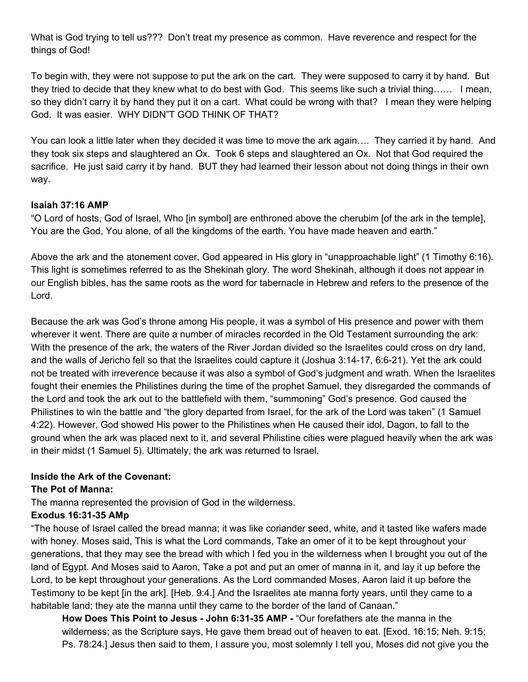What is God trying to tell us??? Don't treat my presence as common. Have reverence and respect for the things of God!

To begin with, they were not suppose to put the ark on the cart. They were supposed to carry it by hand. But they tried to decide that they knew what to do best with God. This seems like such a trivial thing…… I mean, so they didn't carry it by hand they put it on a cart. What could be wrong with that? I mean they were helping God. It was easier. WHY DIDN"T GOD THINK OF THAT?

You can look a little later when they decided it was time to move the ark again…. They carried it by hand. And they took six steps and slaughtered an Ox. Took 6 steps and slaughtered an Ox. Not that God required the sacrifice. He just said carry it by hand. BUT they had learned their lesson about not doing things in their own way.

#### **Isaiah 37:16 AMP**

"O Lord of hosts, God of Israel, Who [in symbol] are enthroned above the cherubim [of the ark in the temple], You are the God, You alone, of all the kingdoms of the earth. You have made heaven and earth."

Above the ark and the atonement cover, God appeared in His glory in "unapproachable light" (1 Timothy 6:16). This light is sometimes referred to as the Shekinah glory. The word Shekinah, although it does not appear in our English bibles, has the same roots as the word for tabernacle in Hebrew and refers to the presence of the Lord.

Because the ark was God's throne among His people, it was a symbol of His presence and power with them wherever it went. There are quite a number of miracles recorded in the Old Testament surrounding the ark: With the presence of the ark, the waters of the River Jordan divided so the Israelites could cross on dry land, and the walls of Jericho fell so that the Israelites could capture it (Joshua 3:14-17, 6:6-21). Yet the ark could not be treated with irreverence because it was also a symbol of God's judgment and wrath. When the Israelites fought their enemies the Philistines during the time of the prophet Samuel, they disregarded the commands of the Lord and took the ark out to the battlefield with them, "summoning" God's presence. God caused the Philistines to win the battle and "the glory departed from Israel, for the ark of the Lord was taken" (1 Samuel 4:22). However, God showed His power to the Philistines when He caused their idol, Dagon, to fall to the ground when the ark was placed next to it, and several Philistine cities were plagued heavily when the ark was in their midst (1 Samuel 5). Ultimately, the ark was returned to Israel.

## **Inside the Ark of the Covenant:**

#### **The Pot of Manna:**

The manna represented the provision of God in the wilderness.

#### **Exodus 16:31-35 AMp**

"The house of Israel called the bread manna; it was like coriander seed, white, and it tasted like wafers made with honey. Moses said, This is what the Lord commands, Take an omer of it to be kept throughout your generations, that they may see the bread with which I fed you in the wilderness when I brought you out of the land of Egypt. And Moses said to Aaron, Take a pot and put an omer of manna in it, and lay it up before the Lord, to be kept throughout your generations. As the Lord commanded Moses, Aaron laid it up before the Testimony to be kept [in the ark]. [Heb. 9:4.] And the Israelites ate manna forty years, until they came to a habitable land; they ate the manna until they came to the border of the land of Canaan."

**How Does This Point to Jesus - John 6:31-35 AMP - "Our forefathers ate the manna in the** wilderness; as the Scripture says, He gave them bread out of heaven to eat. [Exod. 16:15; Neh. 9:15; Ps. 78:24.] Jesus then said to them, I assure you, most solemnly I tell you, Moses did not give you the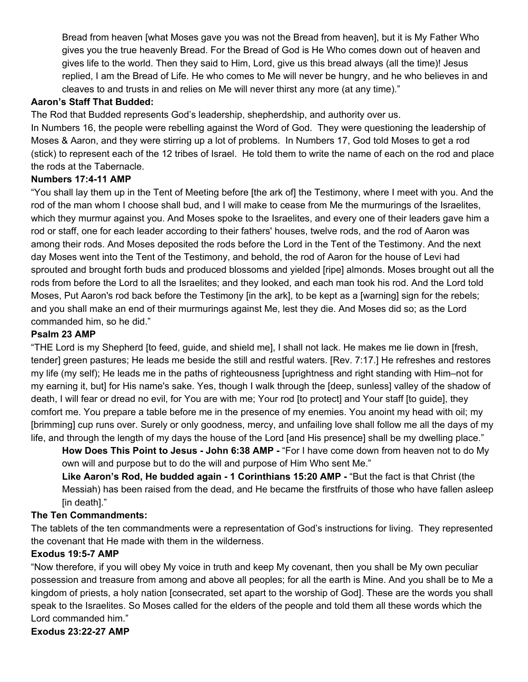Bread from heaven [what Moses gave you was not the Bread from heaven], but it is My Father Who gives you the true heavenly Bread. For the Bread of God is He Who comes down out of heaven and gives life to the world. Then they said to Him, Lord, give us this bread always (all the time)! Jesus replied, I am the Bread of Life. He who comes to Me will never be hungry, and he who believes in and cleaves to and trusts in and relies on Me will never thirst any more (at any time)."

#### **Aaron's Staff That Budded:**

The Rod that Budded represents God's leadership, shepherdship, and authority over us.

In Numbers 16, the people were rebelling against the Word of God. They were questioning the leadership of Moses & Aaron, and they were stirring up a lot of problems. In Numbers 17, God told Moses to get a rod (stick) to represent each of the 12 tribes of Israel. He told them to write the name of each on the rod and place the rods at the Tabernacle.

#### **Numbers 17:4-11 AMP**

"You shall lay them up in the Tent of Meeting before [the ark of] the Testimony, where I meet with you. And the rod of the man whom I choose shall bud, and I will make to cease from Me the murmurings of the Israelites, which they murmur against you. And Moses spoke to the Israelites, and every one of their leaders gave him a rod or staff, one for each leader according to their fathers' houses, twelve rods, and the rod of Aaron was among their rods. And Moses deposited the rods before the Lord in the Tent of the Testimony. And the next day Moses went into the Tent of the Testimony, and behold, the rod of Aaron for the house of Levi had sprouted and brought forth buds and produced blossoms and yielded [ripe] almonds. Moses brought out all the rods from before the Lord to all the Israelites; and they looked, and each man took his rod. And the Lord told Moses, Put Aaron's rod back before the Testimony [in the ark], to be kept as a [warning] sign for the rebels; and you shall make an end of their murmurings against Me, lest they die. And Moses did so; as the Lord commanded him, so he did."

#### **Psalm 23 AMP**

"THE Lord is my Shepherd [to feed, guide, and shield me], I shall not lack. He makes me lie down in [fresh, tender] green pastures; He leads me beside the still and restful waters. [Rev. 7:17.] He refreshes and restores my life (my self); He leads me in the paths of righteousness [uprightness and right standing with Him–not for my earning it, but] for His name's sake. Yes, though I walk through the [deep, sunless] valley of the shadow of death, I will fear or dread no evil, for You are with me; Your rod [to protect] and Your staff [to guide], they comfort me. You prepare a table before me in the presence of my enemies. You anoint my head with oil; my [brimming] cup runs over. Surely or only goodness, mercy, and unfailing love shall follow me all the days of my life, and through the length of my days the house of the Lord [and His presence] shall be my dwelling place."

**How Does This Point to Jesus - John 6:38 AMP - "For I have come down from heaven not to do My** own will and purpose but to do the will and purpose of Him Who sent Me."

**Like Aaron's Rod, He budded again - 1 Corinthians 15:20 AMP -** " But the fact is that Christ (the Messiah) has been raised from the dead, and He became the firstfruits of those who have fallen asleep [in death]."

## **The Ten Commandments:**

The tablets of the ten commandments were a representation of God's instructions for living. They represented the covenant that He made with them in the wilderness.

#### **Exodus 19:5-7 AMP**

"Now therefore, if you will obey My voice in truth and keep My covenant, then you shall be My own peculiar possession and treasure from among and above all peoples; for all the earth is Mine. And you shall be to Me a kingdom of priests, a holy nation [consecrated, set apart to the worship of God]. These are the words you shall speak to the Israelites. So Moses called for the elders of the people and told them all these words which the Lord commanded him."

**Exodus 23:22-27 AMP**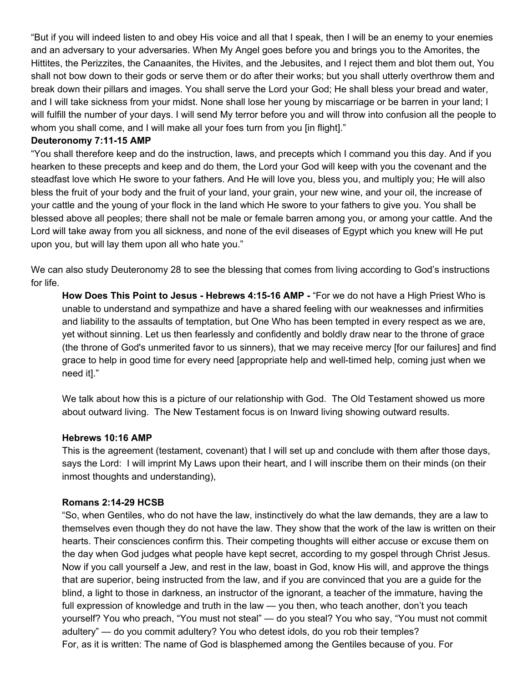"But if you will indeed listen to and obey His voice and all that I speak, then I will be an enemy to your enemies and an adversary to your adversaries. When My Angel goes before you and brings you to the Amorites, the Hittites, the Perizzites, the Canaanites, the Hivites, and the Jebusites, and I reject them and blot them out, You shall not bow down to their gods or serve them or do after their works; but you shall utterly overthrow them and break down their pillars and images. You shall serve the Lord your God; He shall bless your bread and water, and I will take sickness from your midst. None shall lose her young by miscarriage or be barren in your land; I will fulfill the number of your days. I will send My terror before you and will throw into confusion all the people to whom you shall come, and I will make all your foes turn from you [in flight]."

#### **Deuteronomy 7:11-15 AMP**

"You shall therefore keep and do the instruction, laws, and precepts which I command you this day. And if you hearken to these precepts and keep and do them, the Lord your God will keep with you the covenant and the steadfast love which He swore to your fathers. And He will love you, bless you, and multiply you; He will also bless the fruit of your body and the fruit of your land, your grain, your new wine, and your oil, the increase of your cattle and the young of your flock in the land which He swore to your fathers to give you. You shall be blessed above all peoples; there shall not be male or female barren among you, or among your cattle. And the Lord will take away from you all sickness, and none of the evil diseases of Egypt which you knew will He put upon you, but will lay them upon all who hate you."

We can also study Deuteronomy 28 to see the blessing that comes from living according to God's instructions for life.

**How Does This Point to Jesus - Hebrews 4:15-16 AMP - "For we do not have a High Priest Who is** unable to understand and sympathize and have a shared feeling with our weaknesses and infirmities and liability to the assaults of temptation, but One Who has been tempted in every respect as we are, yet without sinning. Let us then fearlessly and confidently and boldly draw near to the throne of grace (the throne of God's unmerited favor to us sinners), that we may receive mercy [for our failures] and find grace to help in good time for every need [appropriate help and well-timed help, coming just when we need it]."

We talk about how this is a picture of our relationship with God. The Old Testament showed us more about outward living. The New Testament focus is on Inward living showing outward results.

#### **Hebrews 10:16 AMP**

This is the agreement (testament, covenant) that I will set up and conclude with them after those days, says the Lord: I will imprint My Laws upon their heart, and I will inscribe them on their minds (on their inmost thoughts and understanding),

#### **Romans 2:14-29 HCSB**

"So, when Gentiles, who do not have the law, instinctively do what the law demands, they are a law to themselves even though they do not have the law. They show that the work of the law is written on their hearts. Their consciences confirm this. Their competing thoughts will either accuse or excuse them on the day when God judges what people have kept secret, according to my gospel through Christ Jesus. Now if you call yourself a Jew, and rest in the law, boast in God, know His will, and approve the things that are superior, being instructed from the law, and if you are convinced that you are a guide for the blind, a light to those in darkness, an instructor of the ignorant, a teacher of the immature, having the full expression of knowledge and truth in the law — you then, who teach another, don't you teach yourself? You who preach, "You must not steal" — do you steal? You who say, "You must not commit adultery" — do you commit adultery? You who detest idols, do you rob their temples? For, as it is written: The name of God is blasphemed among the Gentiles because of you. For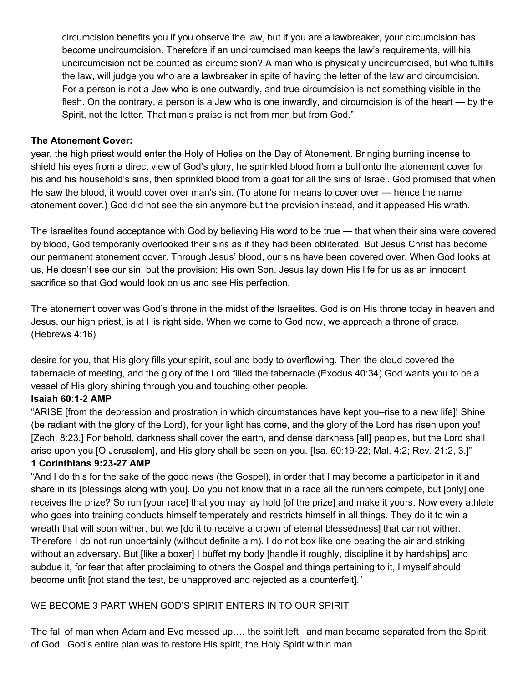circumcision benefits you if you observe the law, but if you are a lawbreaker, your circumcision has become uncircumcision. Therefore if an uncircumcised man keeps the law's requirements, will his uncircumcision not be counted as circumcision? A man who is physically uncircumcised, but who fulfills the law, will judge you who are a lawbreaker in spite of having the letter of the law and circumcision. For a person is not a Jew who is one outwardly, and true circumcision is not something visible in the flesh. On the contrary, a person is a Jew who is one inwardly, and circumcision is of the heart — by the Spirit, not the letter. That man's praise is not from men but from God."

#### **The Atonement Cover:**

year, the high priest would enter the Holy of Holies on the Day of Atonement. Bringing burning incense to shield his eyes from a direct view of God's glory, he sprinkled blood from a bull onto the atonement cover for his and his household's sins, then sprinkled blood from a goat for all the sins of Israel. God promised that when He saw the blood, it would cover over man's sin. (To atone for means to cover over — hence the name atonement cover.) God did not see the sin anymore but the provision instead, and it appeased His wrath.

The Israelites found acceptance with God by believing His word to be true — that when their sins were covered by blood, God temporarily overlooked their sins as if they had been obliterated. But Jesus Christ has become our permanent atonement cover. Through Jesus' blood, our sins have been covered over. When God looks at us, He doesn't see our sin, but the provision: His own Son. Jesus lay down His life for us as an innocent sacrifice so that God would look on us and see His perfection.

The atonement cover was God's throne in the midst of the Israelites. God is on His throne today in heaven and Jesus, our high priest, is at His right side. When we come to God now, we approach a throne of grace. (Hebrews 4:16)

desire for you, that His glory fills your spirit, soul and body to overflowing. Then the cloud covered the tabernacle of meeting, and the glory of the Lord filled the tabernacle (Exodus 40:34).God wants you to be a vessel of His glory shining through you and touching other people.

## **Isaiah 60:1-2 AMP**

"ARISE [from the depression and prostration in which circumstances have kept you–rise to a new life]! Shine (be radiant with the glory of the Lord), for your light has come, and the glory of the Lord has risen upon you! [Zech. 8:23.] For behold, darkness shall cover the earth, and dense darkness [all] peoples, but the Lord shall arise upon you [O Jerusalem], and His glory shall be seen on you. [Isa. 60:19-22; Mal. 4:2; Rev. 21:2, 3.]"

#### **1 Corinthians 9:23-27 AMP**

"And I do this for the sake of the good news (the Gospel), in order that I may become a participator in it and share in its [blessings along with you]. Do you not know that in a race all the runners compete, but [only] one receives the prize? So run [your race] that you may lay hold [of the prize] and make it yours. Now every athlete who goes into training conducts himself temperately and restricts himself in all things. They do it to win a wreath that will soon wither, but we [do it to receive a crown of eternal blessedness] that cannot wither. Therefore I do not run uncertainly (without definite aim). I do not box like one beating the air and striking without an adversary. But [like a boxer] I buffet my body [handle it roughly, discipline it by hardships] and subdue it, for fear that after proclaiming to others the Gospel and things pertaining to it, I myself should become unfit [not stand the test, be unapproved and rejected as a counterfeit]."

## WE BECOME 3 PART WHEN GOD'S SPIRIT ENTERS IN TO OUR SPIRIT

The fall of man when Adam and Eve messed up…. the spirit left. and man became separated from the Spirit of God. God's entire plan was to restore His spirit, the Holy Spirit within man.